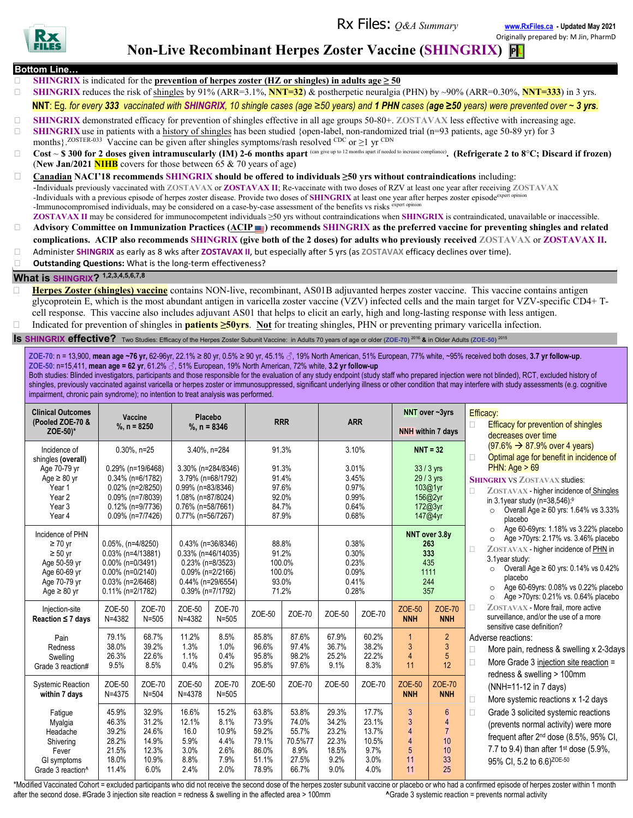Rx Files: *Q&A Summary* **[www.RxFiles.ca](about:blank) - Updated May 2021**

Originally prepared by: M Jin, PharmD



# **Non-Live Recombinant Herpes Zoster Vaccine (SHINGRIX) PL**

- **Bottom Line…**
	- **SHINGRIX** is indicated for the **prevention** of **herpes zoster** (HZ or **shingles**) in adults  $\text{age} \ge 50$
- **SHINGRIX** reduces the risk of shingles by 91% (ARR=3.1%, **NNT=32**) & postherpetic neuralgia (PHN) by ~90% (ARR=0.30%, **NNT=333**) in 3 yrs. NNT: Eq. for every 333 vaccinated with SHINGRIX, 10 shingle cases (age  $\geq$ 50 years) and 1 PHN cases (age  $\geq$ 50 years) were prevented over  $\sim$  3 yrs.
- □ **SHINGRIX** demonstrated efficacy for prevention of shingles effective in all age groups 50-80+. **ZOSTAVAX** less effective with increasing age.
- **SHINGRIX** use in patients with a history of shingles has been studied {open-label, non-randomized trial (n=93 patients, age 50-89 yr) for 3 months}.<sup>ZOSTER-033</sup> Vaccine can be given after shingles symptoms/rash resolved <sup>CDC</sup> or  $\geq$ 1 yr <sup>CDN</sup>
- Cost ~ \$ 300 for 2 doses given intramuscularly (IM) 2-6 months apart <sup>(can give up to 12 months apart if needed to increase compliance). (Refrigerate 2 to 8°C; Discard if frozen)</sup> (**New Jan/2021 NIHB** covers for those between 65 & 70 years of age)
- **Canadian NACI'18 recommends SHINGRIX should be offered to individuals ≥50 yrs without contraindications** including: -Individuals previously vaccinated with **ZOSTAVAX** or **ZOSTAVAX II**; Re-vaccinate with two doses of RZV at least one year after receiving **ZOSTAVAX** -Individuals with a previous episode of herpes zoster disease. Provide two doses of SHINGRIX at least one year after herpes zoster episode<sup>exper</sup> -Immunocompromised individuals, may be considered on a case-by-case assessment of the benefits vs risks expert opini **ZOSTAVAX II** may be considered for immunocompetent individuals ≥50 yrs without contraindications when **SHINGRIX** is contraindicated, unavailable or inaccessible.
- □ Advisory Committee on Immunization Practices (ACIP **III)** recommends SHINGRIX as the preferred vaccine for preventing shingles and related **complications. ACIP also recommends SHINGRIX (give both of the 2 doses) for adults who previously received ZOSTAVAX** or **ZOSTAVAX II.**
- Administer **SHINGRIX** as early as 8 wks after **ZOSTAVAX II**, but especially after 5 yrs (as **ZOSTAVAX** efficacy declines over time).
- **Outstanding Questions:** What is the long-term effectiveness?

#### **What is SHINGRIX? 1,2,3,4,5,6,7,8**

**Herpes Zoster (shingles) vaccine** contains NON-live, recombinant, AS01B adjuvanted herpes zoster vaccine. This vaccine contains antigen glycoprotein E, which is the most abundant antigen in varicella zoster vaccine (VZV) infected cells and the main target for VZV-specific CD4+ Tcell response. This vaccine also includes adjuvant AS01 that helps to elicit an early, high and long-lasting response with less antigen. Indicated for prevention of shingles in **patients ≥50yrs**. **Not** for treating shingles, PHN or preventing primary varicella infection.

#### **Is SHINGRIX effective?** Two Studies: Efficacy of the Herpes Zoster Subunit Vaccine: in Adults 70 years of age or older (**ZOE-70**) <sup>2016</sup> **&** in Older Adults (**ZOE-50**) <sup>2015</sup>

ZOE-70: n = 13,900, mean age ~76 yr, 62-96yr, 22.1% ≥ 80 yr, 0.5% ≥ 90 yr, 45.1% ♂, 19% North American, 51% European, 77% white, ~95% received both doses, 3.7 yr follow-up. **ZOE-50**: n=15,411, **mean age = 62 yr**, 61.2% ♂, 51% European, 19% North American, 72% white, **3.2 yr follow-up**

Both studies: Blinded investigators, participants and those responsible for the evaluation of any study endpoint (study staff who prepared injection were not blinded), RCT, excluded history of shingles, previously vaccinated against varicella or herpes zoster or immunosuppressed, significant underlying illness or other condition that may interfere with study assessments (e.g. cognitive impairment, chronic pain syndrome); no intention to treat analysis was performed.

| <b>Clinical Outcomes</b><br>(Pooled ZOE-70 &<br>ZOE-50)*                                                                             | Vaccine<br>%, $n = 8250$                                                                                                                 |                                                            | Placebo<br>%, $n = 8346$                                                                                                                    |                                                        | <b>RRR</b>                                                  |                                                              | <b>ARR</b>                                                  |                                                          |                                                                                    | NNT over ~3yrs<br><b>NNH</b> within 7 days                                  | Efficacy:<br>П                                                                                                                                                                                                                                                                                                                                                                                                                                                                                                                                                                                                                                                           | <b>Efficacy for prevention of shingles</b><br>decreases over time                                                                                                                                                                                                                                                                                                                                                                                                                                                                                |
|--------------------------------------------------------------------------------------------------------------------------------------|------------------------------------------------------------------------------------------------------------------------------------------|------------------------------------------------------------|---------------------------------------------------------------------------------------------------------------------------------------------|--------------------------------------------------------|-------------------------------------------------------------|--------------------------------------------------------------|-------------------------------------------------------------|----------------------------------------------------------|------------------------------------------------------------------------------------|-----------------------------------------------------------------------------|--------------------------------------------------------------------------------------------------------------------------------------------------------------------------------------------------------------------------------------------------------------------------------------------------------------------------------------------------------------------------------------------------------------------------------------------------------------------------------------------------------------------------------------------------------------------------------------------------------------------------------------------------------------------------|--------------------------------------------------------------------------------------------------------------------------------------------------------------------------------------------------------------------------------------------------------------------------------------------------------------------------------------------------------------------------------------------------------------------------------------------------------------------------------------------------------------------------------------------------|
| Incidence of<br>shingles (overall)<br>Age 70-79 yr<br>Age $\geq 80$ yr<br>Year 1<br>Year <sub>2</sub><br>Year <sub>3</sub><br>Year 4 | $0.30\%$ . n=25<br>0.29% (n=19/6468)<br>0.34% (n=6/1782)<br>0.02% (n=2/8250)<br>0.09% (n=7/8039)<br>0.12% (n=9/7736)<br>0.09% (n=7/7426) |                                                            | 3.40%, n=284<br>3.30% (n=284/8346)<br>3.79% (n=68/1792)<br>0.99% (n=83/8346)<br>1.08% (n=87/8024)<br>0.76% (n=58/7661)<br>0.77% (n=56/7267) |                                                        | 91.3%<br>91.3%<br>91.4%<br>97.6%<br>92.0%<br>84.7%<br>87.9% |                                                              | 3.10%<br>3.01%<br>3.45%<br>0.97%<br>0.99%<br>0.64%<br>0.68% |                                                          | $NNT = 32$<br>33 / 3 yrs<br>29 / 3 yrs<br>103@1yr<br>156@2yr<br>172@3yr<br>147@4yr |                                                                             | $(97.6\% \rightarrow 87.9\%$ over 4 years)<br>Optimal age for benefit in incidence of<br>$\Box$<br>PHN: Age $> 69$<br><b>SHINGRIX VS ZOSTAVAX studies:</b><br>$\Box$<br>ZOSTAVAX - higher incidence of Shingles<br>in 3.1 year study (n=38,546): <sup>9</sup><br>Overall Age ≥ 60 yrs: 1.64% vs 3.33%<br>$\circ$<br>placebo<br>Age 60-69yrs: 1.18% vs 3.22% placebo<br>$\circ$<br>Age >70yrs: 2.17% vs. 3.46% placebo<br>$\circ$<br>ZOSTAVAX - higher incidence of PHN in<br>$\Box$<br>3.1year study:<br>Overall Age ≥ 60 yrs: 0.14% vs 0.42%<br>$\circ$<br>placebo<br>Age 60-69yrs: 0.08% vs 0.22% placebo<br>$\circ$<br>Age >70yrs: 0.21% vs. 0.64% placebo<br>$\circ$ |                                                                                                                                                                                                                                                                                                                                                                                                                                                                                                                                                  |
| Incidence of PHN<br>$\geq 70$ yr<br>$\geq 50$ yr<br>Age 50-59 yr<br>Age 60-69 yr<br>Age 70-79 yr<br>Age $\geq 80$ yr                 | 0.05%, (n=4/8250)<br>0.03% (n=4/13881)<br>0.00% (n=0/3491)<br>0.00% (n=0/2140)<br>0.03% (n=2/6468)<br>$0.11\%$ (n=2/1782)                |                                                            | 0.43% (n=36/8346)<br>0.33% (n=46/14035)<br>$0.23\%$ (n=8/3523)<br>0.09% (n=2/2166)<br>0.44% (n=29/6554)<br>0.39% (n=7/1792)                 |                                                        | 88.8%<br>91.2%<br>100.0%<br>100.0%<br>93.0%<br>71.2%        |                                                              | 0.38%<br>0.30%<br>0.23%<br>0.09%<br>0.41%<br>0.28%          |                                                          | NNT over 3.8y<br>263<br>333<br>435<br>1111<br>244<br>357                           |                                                                             |                                                                                                                                                                                                                                                                                                                                                                                                                                                                                                                                                                                                                                                                          |                                                                                                                                                                                                                                                                                                                                                                                                                                                                                                                                                  |
| Injection-site<br>Reaction $\leq 7$ days                                                                                             | ZOE-50<br>$N = 4382$                                                                                                                     | ZOE-70<br>$N = 505$                                        | ZOE-50<br>$N = 4382$                                                                                                                        | ZOE-70<br>$N = 505$                                    | ZOE-50                                                      | ZOE-70                                                       | ZOE-50                                                      | ZOE-70                                                   | ZOE-50<br><b>NNH</b>                                                               | ZOE-70<br><b>NNH</b>                                                        | $\Box$                                                                                                                                                                                                                                                                                                                                                                                                                                                                                                                                                                                                                                                                   | ZOSTAVAX - More frail, more active<br>surveillance, and/or the use of a more<br>sensitive case definition?<br>Adverse reactions:<br>More pain, redness & swelling x 2-3days<br>More Grade 3 injection site reaction =<br>redness & swelling > 100mm<br>(NNH=11-12 in 7 days)<br>More systemic reactions x 1-2 days<br>Grade 3 solicited systemic reactions<br>(prevents normal activity) were more<br>frequent after 2 <sup>nd</sup> dose (8.5%, 95% CI,<br>7.7 to 9.4) than after $1^{st}$ dose (5.9%,<br>95% CI. 5.2 to 6.6) <sup>ZOE-50</sup> |
| Pain<br>Redness<br>Swelling<br>Grade 3 reaction#                                                                                     | 79.1%<br>38.0%<br>26.3%<br>9.5%                                                                                                          | 68.7%<br>39.2%<br>22.6%<br>8.5%                            | 11.2%<br>1.3%<br>1.1%<br>0.4%                                                                                                               | 8.5%<br>1.0%<br>0.4%<br>0.2%                           | 85.8%<br>96.6%<br>95.8%<br>95.8%                            | 87.6%<br>97.4%<br>98.2%<br>97.6%                             | 67.9%<br>36.7%<br>25.2%<br>9.1%                             | 60.2%<br>38.2%<br>22.2%<br>8.3%                          | $\overline{1}$<br>3<br>$\overline{4}$<br>11                                        | $\overline{2}$<br>$\mathbf{3}$<br>$5\phantom{.0}$<br>12                     | $\Box$<br>П                                                                                                                                                                                                                                                                                                                                                                                                                                                                                                                                                                                                                                                              |                                                                                                                                                                                                                                                                                                                                                                                                                                                                                                                                                  |
| <b>Systemic Reaction</b><br>within 7 days                                                                                            | ZOE-50<br>$N = 4375$                                                                                                                     | ZOE-70<br>$N = 504$                                        | ZOE-50<br>$N = 4378$                                                                                                                        | ZOE-70<br>$N = 505$                                    | ZOE-50                                                      | ZOE-70                                                       | ZOE-50                                                      | ZOE-70                                                   | ZOE-50<br><b>NNH</b>                                                               | ZOE-70<br><b>NNH</b>                                                        | $\Box$                                                                                                                                                                                                                                                                                                                                                                                                                                                                                                                                                                                                                                                                   |                                                                                                                                                                                                                                                                                                                                                                                                                                                                                                                                                  |
| Fatique<br>Myalgia<br>Headache<br>Shivering<br>Fever<br>GI symptoms<br>Grade 3 reaction <sup>^</sup>                                 | 45.9%<br>46.3%<br>39.2%<br>28.2%<br>21.5%<br>18.0%<br>11.4%                                                                              | 32.9%<br>31.2%<br>24.6%<br>14.9%<br>12.3%<br>10.9%<br>6.0% | 16.6%<br>12.1%<br>16.0<br>5.9%<br>3.0%<br>8.8%<br>2.4%                                                                                      | 15.2%<br>8.1%<br>10.9%<br>4.4%<br>2.6%<br>7.9%<br>2.0% | 63.8%<br>73.9%<br>59.2%<br>79.1%<br>86.0%<br>51.1%<br>78.9% | 53.8%<br>74.0%<br>55.7%<br>70.5%77<br>8.9%<br>27.5%<br>66.7% | 29.3%<br>34.2%<br>23.2%<br>22.3%<br>18.5%<br>9.2%<br>9.0%   | 17.7%<br>23.1%<br>13.7%<br>10.5%<br>9.7%<br>3.0%<br>4.0% | 3<br>3<br>$\overline{4}$<br>$\overline{4}$<br>5<br>11<br>11                        | $6\overline{6}$<br>$\overline{4}$<br>$\overline{7}$<br>10<br>10<br>33<br>25 | $\Box$                                                                                                                                                                                                                                                                                                                                                                                                                                                                                                                                                                                                                                                                   |                                                                                                                                                                                                                                                                                                                                                                                                                                                                                                                                                  |

\*Modified Vaccinated Cohort = excluded participants who did not receive the second dose of the herpes zoster subunit vaccine or placebo or who had a confirmed episode of herpes zoster within 1 month after the second dose. #Grade 3 injection site reaction = redness & swelling in the affected area > 100mm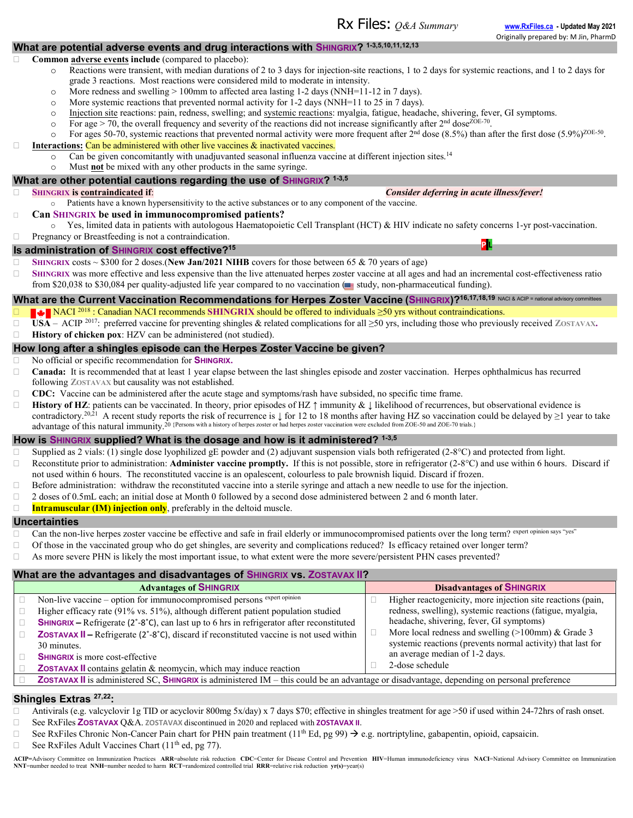# **What are potential adverse events and drug interactions with SHINGRIX? 1-3,5,10,11,12,13**

#### **Common adverse events include** (compared to placebo):

- o Reactions were transient, with median durations of 2 to 3 days for injection-site reactions, 1 to 2 days for systemic reactions, and 1 to 2 days for grade 3 reactions. Most reactions were considered mild to moderate in intensity.
- o More redness and swelling > 100mm to affected area lasting 1-2 days (NNH=11-12 in 7 days).
- o More systemic reactions that prevented normal activity for 1-2 days (NNH=11 to 25 in 7 days).
- o Injection site reactions: pain, redness, swelling; and systemic reactions: myalgia, fatigue, headache, shivering, fever, GI symptoms.
- $\circ$  For age > 70, the overall frequency and severity of the reactions did not increase significantly after 2<sup>nd</sup> dose<sup>ZOE-70</sup>.
- $\circ$  For ages 50-70, systemic reactions that prevented normal activity were more frequent after 2<sup>nd</sup> dose (8.5%) than after the first dose (5.9%)<sup>ZOE-50</sup>. **Interactions:** Can be administered with other live vaccines & inactivated vaccines.

 $\circ$  Can be given concomitantly with unadjuvanted seasonal influenza vaccine at different injection sites.<sup>14</sup>

# o Must **not** be mixed with any other products in the same syringe.

### **What are other potential cautions regarding the use of SHINGRIX? 1-3,5**

- 
- Patients have a known hypersensitivity to the active substances or to any component of the vaccine.
- **Can SHINGRIX be used in immunocompromised patients?**
- $\circ$  Yes, limited data in patients with autologous Haematopoietic Cell Transplant (HCT) & HIV indicate no safety concerns 1-yr post-vaccination.  $\Box$  Pregnancy or Breastfeeding is not a contraindication.

### **Is administration of SHINGRIX cost effective?<sup>15</sup>**

- **SHINGRIX** costs  $\sim$  \$300 for 2 doses.(New Jan/2021 NIHB covers for those between 65 & 70 years of age)
- **SHINGRIX** was more effective and less expensive than the live attenuated herpes zoster vaccine at all ages and had an incremental cost-effectiveness ratio from \$20,038 to \$30,084 per quality-adjusted life year compared to no vaccination (see study, non-pharmaceutical funding).

# What are the Current Vaccination Recommendations for Herpes Zoster Vaccine (SHINGRIX)?<sup>16,17,18,19</sup> NACI & ACIP = national advisory committee

- **NACI<sup>2018</sup>** : Canadian NACI recommends **SHINGRIX** should be offered to individuals ≥50 yrs without contraindications.
- **USA**  ACIP <sup>2017</sup>: preferred vaccine for preventing shingles & related complications for all ≥50 yrs, including those who previously received **ZOSTAVAX.**
- **History of chicken pox**: HZV can be administered (not studied).

#### **How long after a shingles episode can the Herpes Zoster Vaccine be given?**

- No official or specific recommendation for **SHINGRIX.**
- □ **Canada:** It is recommended that at least 1 year elapse between the last shingles episode and zoster vaccination. Herpes ophthalmicus has recurred following **ZOSTAVAX** but causality was not established.
- **CDC:** Vaccine can be administered after the acute stage and symptoms/rash have subsided, no specific time frame.
- **History of HZ**: patients can be vaccinated. In theory, prior episodes of HZ ↑ immunity & ↓ likelihood of recurrences, but observational evidence is contradictory.<sup>20,21</sup> A recent study reports the risk of recurrence is  $\downarrow$  for 12 to 18 months after having HZ so vaccination could be delayed by  $\geq$ 1 year to take advantage of this natural immunity.<sup>20</sup> {Persons with a history of herpes zoster or had herpes zoster vaccination were excluded from ZOE-50 and ZOE-70 trials.}

#### **How is SHINGRIX supplied? What is the dosage and how is it administered? 1-3,5**

 $\Box$  Supplied as 2 vials: (1) single dose lyophilized gE powder and (2) adjuvant suspension vials both refrigerated (2-8°C) and protected from light.

- Reconstitute prior to administration: **Administer vaccine promptly.** If this is not possible, store in refrigerator ( $2-8^{\circ}$ C) and use within 6 hours. Discard if not used within 6 hours. The reconstituted vaccine is an opalescent, colourless to pale brownish liquid. Discard if frozen.
- $\Box$  Before administration: withdraw the reconstituted vaccine into a sterile syringe and attach a new needle to use for the injection.
- $\Box$  2 doses of 0.5mL each; an initial dose at Month 0 followed by a second dose administered between 2 and 6 month later.
- **Intramuscular (IM) injection only**, preferably in the deltoid muscle.

#### **Uncertainties**

- □ Can the non-live herpes zoster vaccine be effective and safe in frail elderly or immunocompromised patients over the long term? expert opinion says "yes
- $\Box$  Of those in the vaccinated group who do get shingles, are severity and complications reduced? Is efficacy retained over longer term?
- $\Box$  As more severe PHN is likely the most important issue, to what extent were the more severe/persistent PHN cases prevented?

| What are the advantages and disadvantages of SHINGRIX vs. ZOSTAVAX II? |  |                                                                                                                                            |  |                                                             |  |  |  |  |  |
|------------------------------------------------------------------------|--|--------------------------------------------------------------------------------------------------------------------------------------------|--|-------------------------------------------------------------|--|--|--|--|--|
|                                                                        |  | <b>Advantages of SHINGRIX</b>                                                                                                              |  | <b>Disadvantages of SHINGRIX</b>                            |  |  |  |  |  |
|                                                                        |  | Non-live vaccine – option for immunocompromised persons expert opinion                                                                     |  | Higher reactogenicity, more injection site reactions (pain, |  |  |  |  |  |
|                                                                        |  | Higher efficacy rate (91% vs. 51%), although different patient population studied                                                          |  | redness, swelling), systemic reactions (fatigue, myalgia,   |  |  |  |  |  |
|                                                                        |  | <b>SHINGRIX</b> – Refrigerate ( $2^\circ$ -8°C), can last up to 6 hrs in refrigerator after reconstituted                                  |  | headache, shivering, fever, GI symptoms)                    |  |  |  |  |  |
|                                                                        |  | ZOSTAVAX II - Refrigerate (2°-8°C), discard if reconstituted vaccine is not used within                                                    |  | More local redness and swelling $(>100$ mm) & Grade 3       |  |  |  |  |  |
|                                                                        |  | 30 minutes.                                                                                                                                |  | systemic reactions (prevents normal activity) that last for |  |  |  |  |  |
|                                                                        |  | <b>SHINGRIX</b> is more cost-effective                                                                                                     |  | an average median of 1-2 days.                              |  |  |  |  |  |
|                                                                        |  | <b>ZOSTAVAX II</b> contains gelatin & neomycin, which may induce reaction                                                                  |  | 2-dose schedule                                             |  |  |  |  |  |
|                                                                        |  | ZOSTAVAX II is administered SC, SHINGRIX is administered IM - this could be an advantage or disadvantage, depending on personal preference |  |                                                             |  |  |  |  |  |

#### **Shingles Extras 27,22:**

- □ Antivirals (e.g. valcyclovir 1g TID or acyclovir 800mg 5x/day) x 7 days \$70; effective in shingles treatment for age >50 if used within 24-72hrs of rash onset.
- See RxFiles **ZOSTAVAX** Q&A. **ZOSTAVAX** discontinued in 2020 and replaced with **ZOSTAVAX II**.
- See RxFiles Chronic Non-Cancer Pain chart for PHN pain treatment (11<sup>th</sup> Ed, pg 99)  $\rightarrow$  e.g. nortriptyline, gabapentin, opioid, capsaicin.
- See RxFiles Adult Vaccines Chart ( $11<sup>th</sup>$  ed, pg 77).

ACIP=Advisory Committee on Immunization Practices ARR=absolute risk reduction CDC=Center for Disease Control and Prevention HIV=Human immunodeficiency virus NACI=National Advisory Committee on Immunization **NNT**=number needed to treat **NNH**=number needed to harm **RCT**=randomized controlled trial **RRR**=relative risk reduction **yr(s)**=year(s)

#### **SHINGRIX** is **contraindicated if:** *Consider deferring in acute illness/fever!*

**P L**